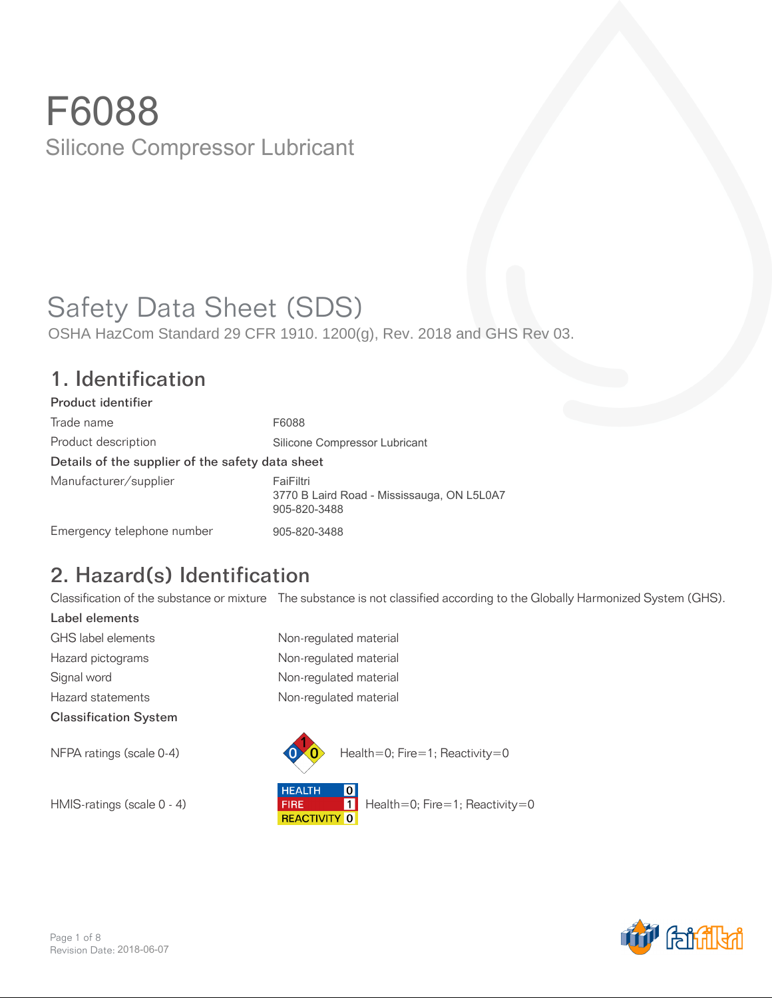# Safety Data Sheet (SDS)

OSHA HazCom Standard 29 CFR 1910. 1200(g), Rev. 2018 and GHS Rev 03.

#### 1. Identification

| Product identifier                               |                                                                         |
|--------------------------------------------------|-------------------------------------------------------------------------|
| Trade name                                       | F6088                                                                   |
| Product description                              | Silicone Compressor Lubricant                                           |
| Details of the supplier of the safety data sheet |                                                                         |
| Manufacturer/supplier                            | FaiFiltri<br>3770 B Laird Road - Mississauga, ON L5L0A7<br>905-820-3488 |
| Emergency telephone number                       | 905-820-3488                                                            |

# 2. Hazard(s) Identification

Classification of the substance or mixture The substance is not classified according to the Globally Harmonized System (GHS).

Label elements GHS label elements Non-regulated material Hazard pictograms **Non-regulated material** Signal word **Non-regulated material** Hazard statements **Non-regulated material** Classification System



**HEALTH**  $\boxed{0}$ HMIS-ratings (scale 0 - 4) **FIRE** Health=0; Fire=1; Reactivity=0<br>REACTIVITY 0

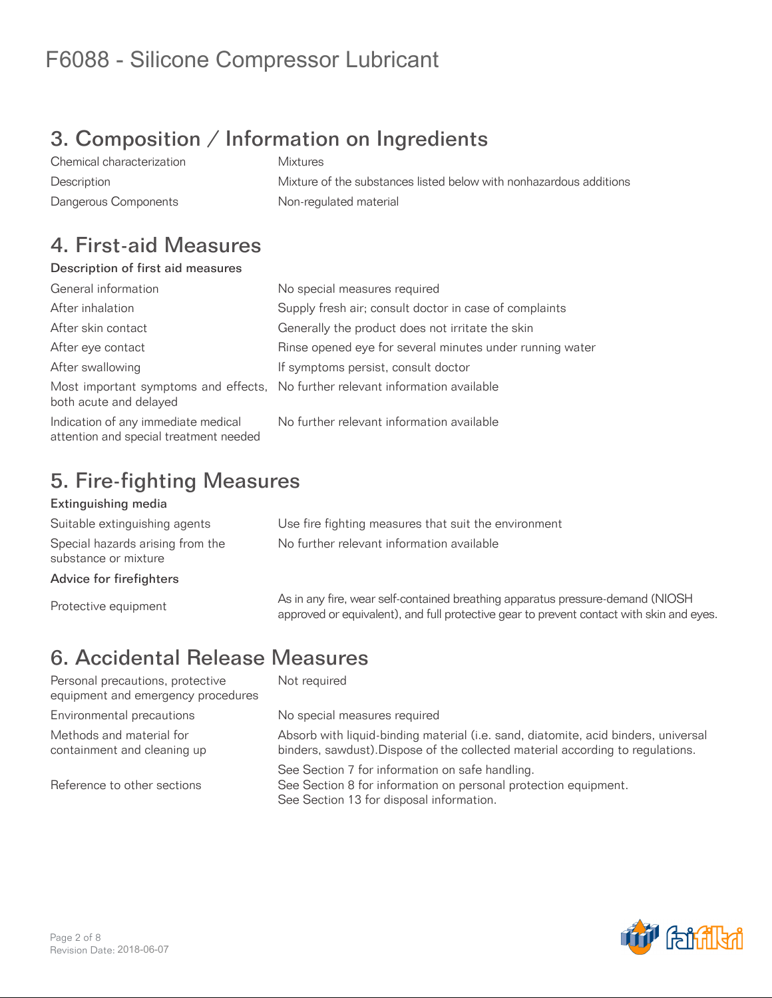# 3. Composition / Information on Ingredients

Chemical characterization Mixtures Description Mixture of the substances listed below with nonhazardous additions Dangerous Components **Non-regulated material** 

#### 4. First-aid Measures

#### Description of first aid measures

| General information                                                           | No special measures required                                                   |
|-------------------------------------------------------------------------------|--------------------------------------------------------------------------------|
| After inhalation                                                              | Supply fresh air; consult doctor in case of complaints                         |
| After skin contact                                                            | Generally the product does not irritate the skin                               |
| After eye contact                                                             | Rinse opened eye for several minutes under running water                       |
| After swallowing                                                              | If symptoms persist, consult doctor                                            |
| both acute and delayed                                                        | Most important symptoms and effects, No further relevant information available |
| Indication of any immediate medical<br>attention and special treatment needed | No further relevant information available                                      |

### 5. Fire-fighting Measures

#### Extinguishing media

Suitable extinguishing agents Use fire fighting measures that suit the environment Special hazards arising from the substance or mixture

Advice for firefighters

No further relevant information available

As in any fire, wear self-contained breathing apparatus pressure-demand (NIOSH)<br>
Protective equipment<br>
Protective equipment approved or equivalent), and full protective gear to prevent contact with skin and eyes.

# 6. Accidental Release Measures

Personal precautions, protective equipment and emergency procedures Environmental precautions entity No special measures required Methods and material for containment and cleaning up

Reference to other sections

Not required

Absorb with liquid-binding material (i.e. sand, diatomite, acid binders, universal binders, sawdust).Dispose of the collected material according to regulations.

See Section 7 for information on safe handling. See Section 8 for information on personal protection equipment. See Section 13 for disposal information.

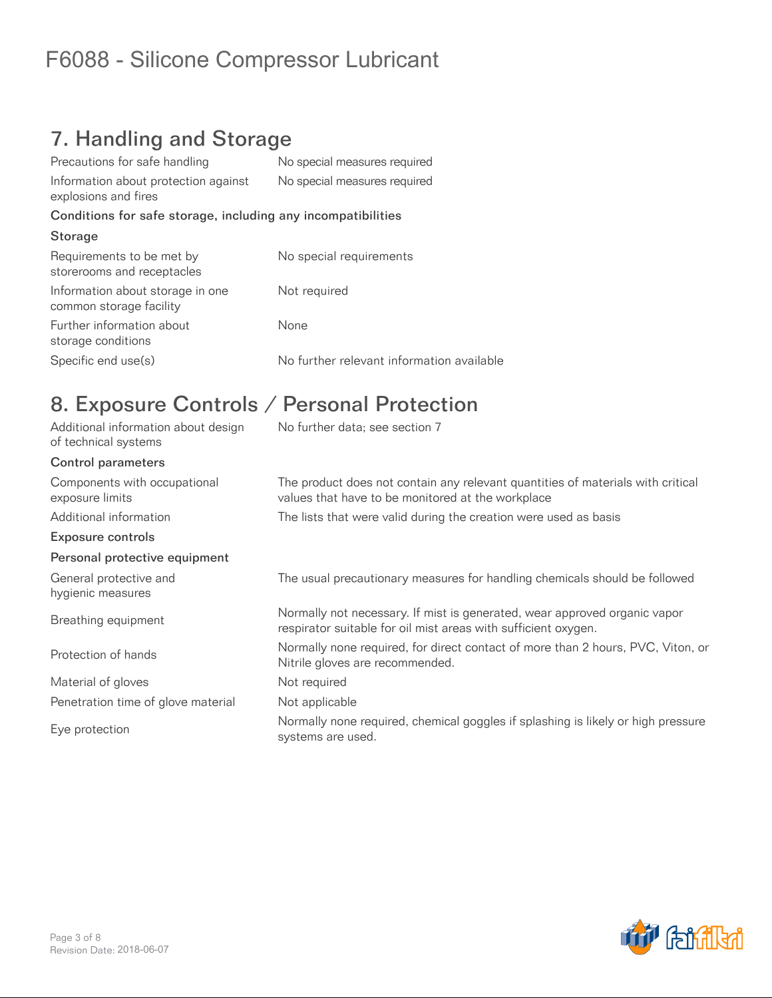### 7. Handling and Storage

| Precautions for safe handling                                | No special measures required              |
|--------------------------------------------------------------|-------------------------------------------|
| Information about protection against<br>explosions and fires | No special measures required              |
| Conditions for safe storage, including any incompatibilities |                                           |
| Storage                                                      |                                           |
| Requirements to be met by<br>storerooms and receptacles      | No special requirements                   |
| Information about storage in one<br>common storage facility  | Not required                              |
| Further information about<br>storage conditions              | None                                      |
| Specific end use(s)                                          | No further relevant information available |

### 8. Exposure Controls / Personal Protection

| Additional information about design<br>of technical systems | No further data; see section 7                                                                                                              |
|-------------------------------------------------------------|---------------------------------------------------------------------------------------------------------------------------------------------|
| <b>Control parameters</b>                                   |                                                                                                                                             |
| Components with occupational<br>exposure limits             | The product does not contain any relevant quantities of materials with critical<br>values that have to be monitored at the workplace        |
| Additional information                                      | The lists that were valid during the creation were used as basis                                                                            |
| <b>Exposure controls</b>                                    |                                                                                                                                             |
| Personal protective equipment                               |                                                                                                                                             |
| General protective and<br>hygienic measures                 | The usual precautionary measures for handling chemicals should be followed                                                                  |
| Breathing equipment                                         | Normally not necessary. If mist is generated, wear approved organic vapor<br>respirator suitable for oil mist areas with sufficient oxygen. |
| Protection of hands                                         | Normally none required, for direct contact of more than 2 hours, PVC, Viton, or<br>Nitrile gloves are recommended.                          |
| Material of gloves                                          | Not required                                                                                                                                |
| Penetration time of glove material                          | Not applicable                                                                                                                              |
| Eye protection                                              | Normally none required, chemical goggles if splashing is likely or high pressure<br>systems are used.                                       |

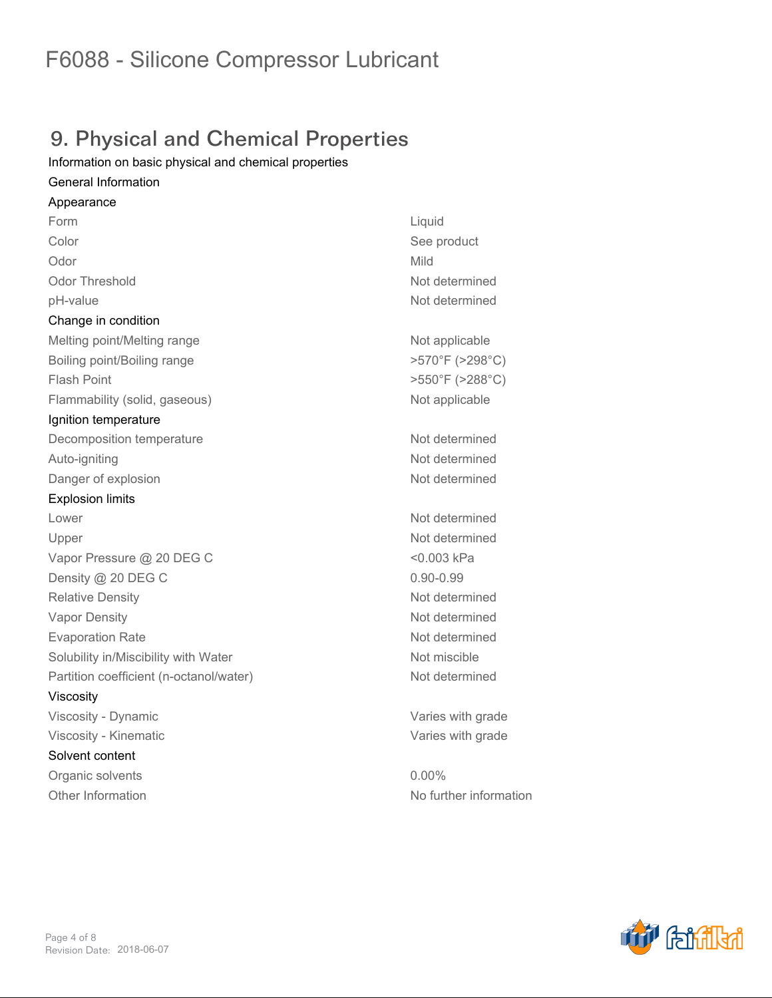## 9. Physical and Chemical Properties

*Information on basic physical and chemical properties*

#### *General Information*

*Appearance Form Liquid Color See product Odor Mild Odor Threshold Not determined pH-value Not determined Change in condition* **Melting point/Melting range <b>Not applicable Not applicable** *Boiling point/Boiling range >570°F (>298°C) Flash Point >550°F (>288°C) Flammability (solid, gaseous) Not applicable Ignition temperature Decomposition temperature Not determined Auto-igniting Not determined* **Danger of explosion** *Not determined Explosion limits Lower Not determined Upper Not determined Vapor Pressure @ 20 DEG C <0.003 kPa Density @ 20 DEG C 0.90-0.99 Relative Density Not determined Vapor Density Not determined Evaporation Rate Not determined Solubility in/Miscibility with Water Not miscible Partition coefficient (n-octanol/water) Not determined Viscosity Viscosity - Dynamic Varies with grade Viscosity - Kinematic Varies with grade Solvent content Organic solvents 0.00% Other Information No further information*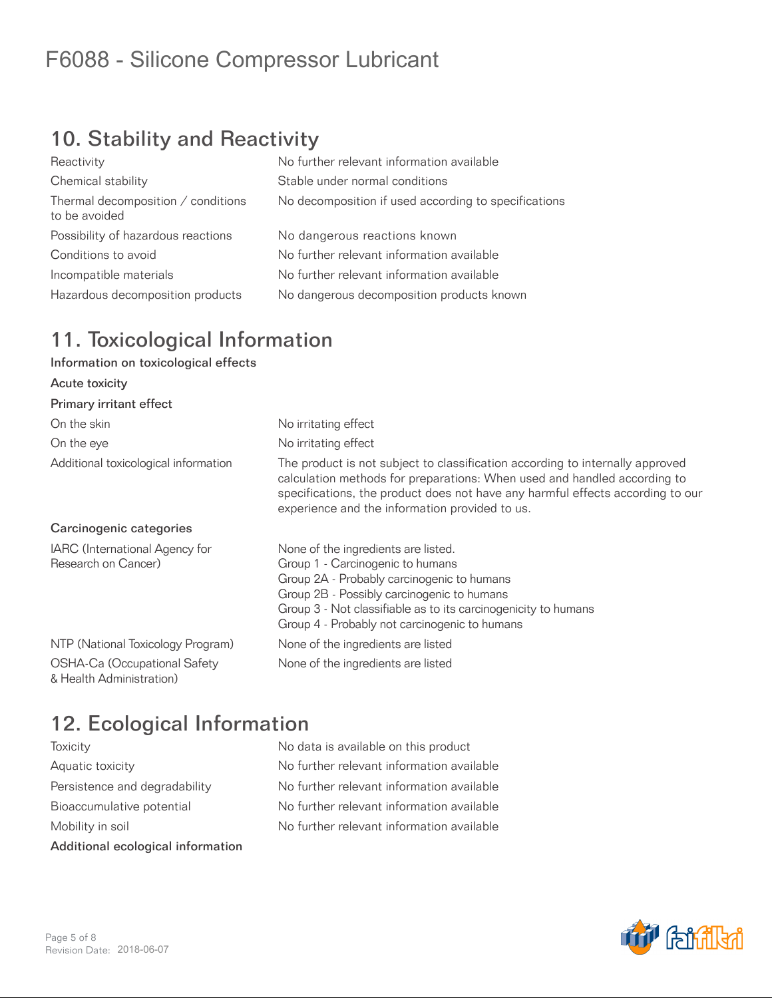# 10. Stability and Reactivity

| Reactivity                                          | No further relevant information available            |
|-----------------------------------------------------|------------------------------------------------------|
| Chemical stability                                  | Stable under normal conditions                       |
| Thermal decomposition / conditions<br>to be avoided | No decomposition if used according to specifications |
| Possibility of hazardous reactions                  | No dangerous reactions known                         |
| Conditions to avoid                                 | No further relevant information available            |
| Incompatible materials                              | No further relevant information available            |
| Hazardous decomposition products                    | No dangerous decomposition products known            |
|                                                     |                                                      |

### 11. Toxicological Information

#### Information on toxicological effects

| Acute toxicity                                           |                                                                                                                                                                                                                                                                                               |
|----------------------------------------------------------|-----------------------------------------------------------------------------------------------------------------------------------------------------------------------------------------------------------------------------------------------------------------------------------------------|
| Primary irritant effect                                  |                                                                                                                                                                                                                                                                                               |
| On the skin                                              | No irritating effect                                                                                                                                                                                                                                                                          |
| On the eye                                               | No irritating effect                                                                                                                                                                                                                                                                          |
| Additional toxicological information                     | The product is not subject to classification according to internally approved<br>calculation methods for preparations: When used and handled according to<br>specifications, the product does not have any harmful effects according to our<br>experience and the information provided to us. |
| Carcinogenic categories                                  |                                                                                                                                                                                                                                                                                               |
| IARC (International Agency for<br>Research on Cancer)    | None of the ingredients are listed.<br>Group 1 - Carcinogenic to humans<br>Group 2A - Probably carcinogenic to humans<br>Group 2B - Possibly carcinogenic to humans<br>Group 3 - Not classifiable as to its carcinogenicity to humans<br>Group 4 - Probably not carcinogenic to humans        |
| NTP (National Toxicology Program)                        | None of the ingredients are listed                                                                                                                                                                                                                                                            |
| OSHA-Ca (Occupational Safety<br>& Health Administration) | None of the ingredients are listed                                                                                                                                                                                                                                                            |

### 12. Ecological Information

| Additional ecological information |
|-----------------------------------|
| Mobility in soil                  |
| Bioaccumulative potential         |
| Persistence and degradability     |
| Aquatic toxicity                  |
| loxicity                          |

No data is available on this product No further relevant information available No further relevant information available No further relevant information available No further relevant information available

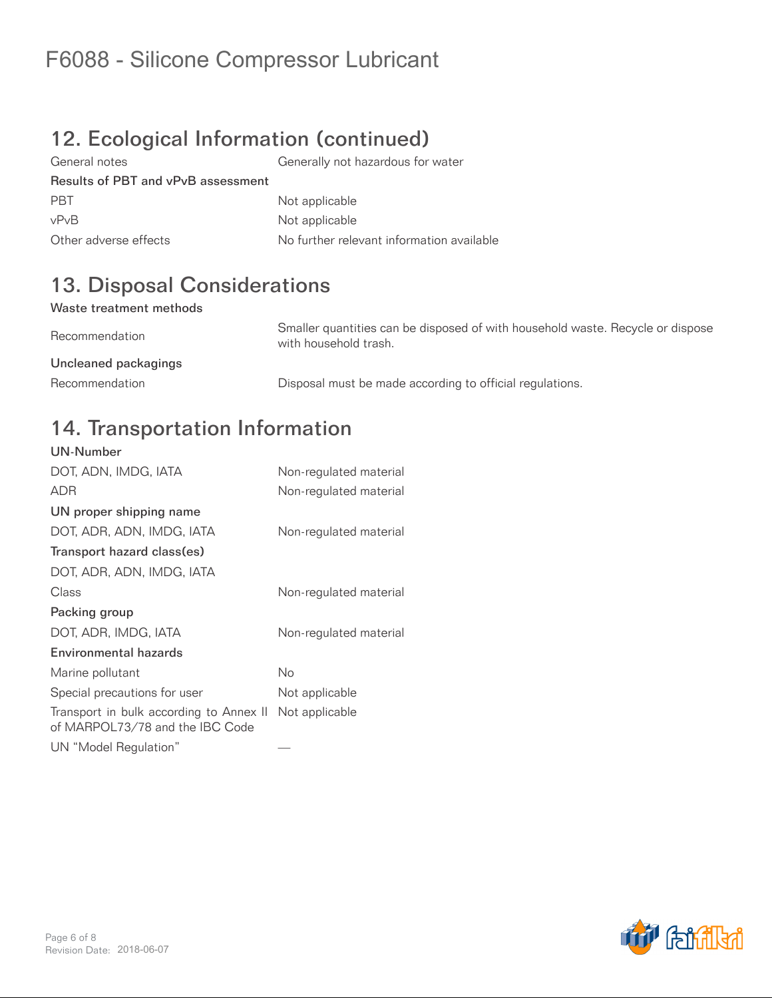# 12. Ecological Information (continued)

General notes Generally not hazardous for water Results of PBT and vPvB assessment PBT Not applicable vPvB Not applicable Other adverse effects No further relevant information available

# 13. Disposal Considerations

#### Waste treatment methods

Recommendation Smaller quantities can be disposed of with household waste. Recycle or dispose with household trash. Uncleaned packagings Recommendation **Disposal must be made according to official regulations.** 

#### 14. Transportation Information UN-Number

| UN-Number                                                                  |                        |
|----------------------------------------------------------------------------|------------------------|
| DOT, ADN, IMDG, IATA                                                       | Non-regulated material |
| <b>ADR</b>                                                                 | Non-regulated material |
| UN proper shipping name                                                    |                        |
| DOT, ADR, ADN, IMDG, IATA                                                  | Non-regulated material |
| Transport hazard class(es)                                                 |                        |
| DOT, ADR, ADN, IMDG, IATA                                                  |                        |
| Class                                                                      | Non-regulated material |
| Packing group                                                              |                        |
| DOT, ADR, IMDG, IATA                                                       | Non-regulated material |
| Environmental hazards                                                      |                        |
| Marine pollutant                                                           | No                     |
| Special precautions for user                                               | Not applicable         |
| Transport in bulk according to Annex II<br>of MARPOL73/78 and the IBC Code | Not applicable         |
| UN "Model Regulation"                                                      |                        |

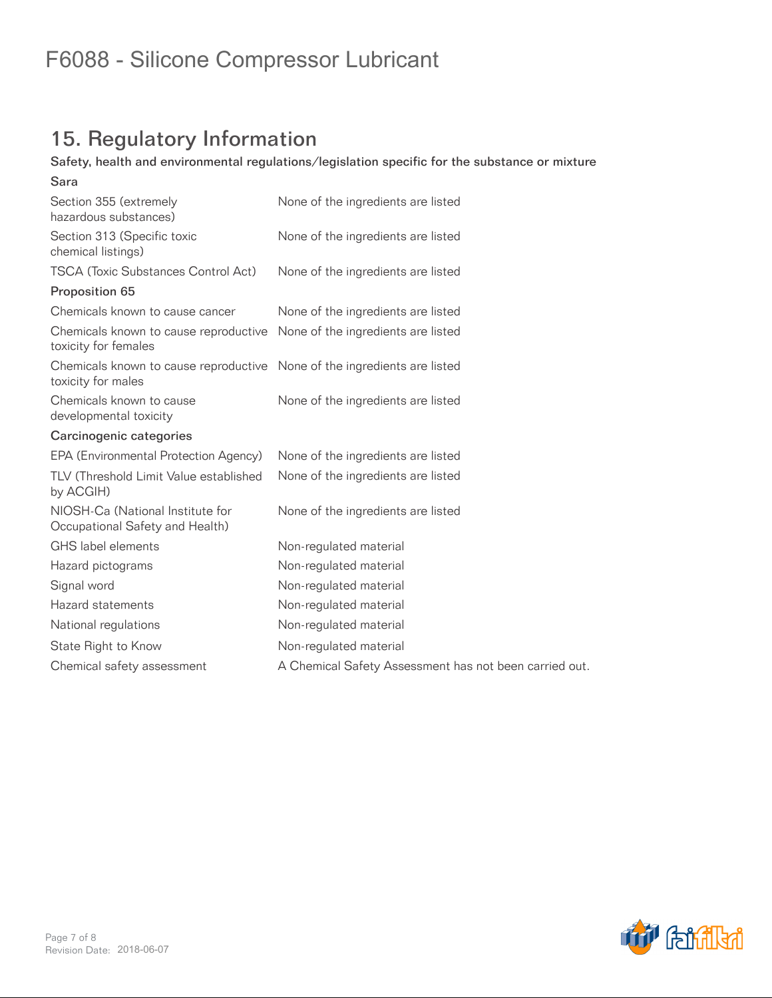# 15. Regulatory Information

#### Safety, health and environmental regulations/legislation specific for the substance or mixture

| Sara                                                                                           |                                                        |
|------------------------------------------------------------------------------------------------|--------------------------------------------------------|
| Section 355 (extremely<br>hazardous substances)                                                | None of the ingredients are listed                     |
| Section 313 (Specific toxic<br>chemical listings)                                              | None of the ingredients are listed                     |
| <b>TSCA (Toxic Substances Control Act)</b>                                                     | None of the ingredients are listed                     |
| Proposition 65                                                                                 |                                                        |
| Chemicals known to cause cancer                                                                | None of the ingredients are listed                     |
| Chemicals known to cause reproductive<br>toxicity for females                                  | None of the ingredients are listed                     |
| Chemicals known to cause reproductive None of the ingredients are listed<br>toxicity for males |                                                        |
| Chemicals known to cause<br>developmental toxicity                                             | None of the ingredients are listed                     |
| Carcinogenic categories                                                                        |                                                        |
| EPA (Environmental Protection Agency)                                                          | None of the ingredients are listed                     |
| TLV (Threshold Limit Value established<br>by ACGIH)                                            | None of the ingredients are listed                     |
| NIOSH-Ca (National Institute for<br>Occupational Safety and Health)                            | None of the ingredients are listed                     |
| GHS label elements                                                                             | Non-regulated material                                 |
| Hazard pictograms                                                                              | Non-regulated material                                 |
| Signal word                                                                                    | Non-regulated material                                 |
| Hazard statements                                                                              | Non-regulated material                                 |
| National regulations                                                                           | Non-regulated material                                 |
| State Right to Know                                                                            | Non-regulated material                                 |
| Chemical safety assessment                                                                     | A Chemical Safety Assessment has not been carried out. |
|                                                                                                |                                                        |